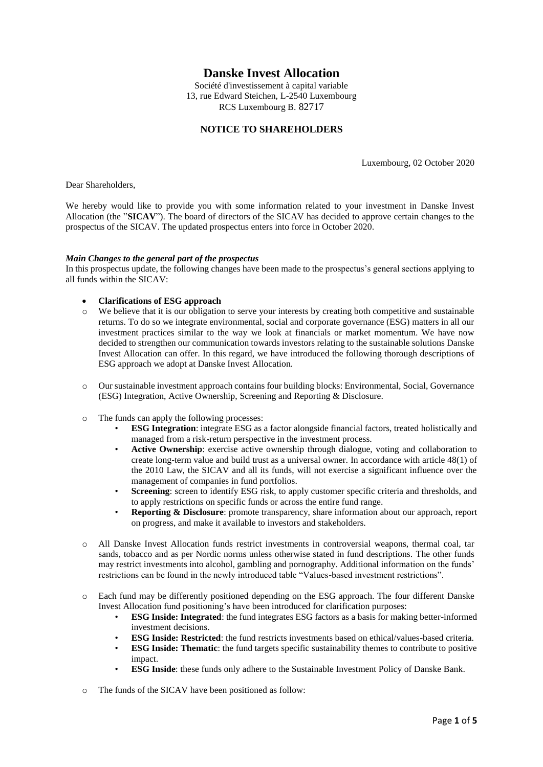# **Danske Invest Allocation**

Société d'investissement à capital variable 13, rue Edward Steichen, L-2540 Luxembourg RCS Luxembourg B. 82717

# **NOTICE TO SHAREHOLDERS**

Luxembourg, 02 October 2020

Dear Shareholders,

We hereby would like to provide you with some information related to your investment in Danske Invest Allocation (the "**SICAV**"). The board of directors of the SICAV has decided to approve certain changes to the prospectus of the SICAV. The updated prospectus enters into force in October 2020.

#### *Main Changes to the general part of the prospectus*

In this prospectus update, the following changes have been made to the prospectus's general sections applying to all funds within the SICAV:

- **Clarifications of ESG approach**
- o We believe that it is our obligation to serve your interests by creating both competitive and sustainable returns. To do so we integrate environmental, social and corporate governance (ESG) matters in all our investment practices similar to the way we look at financials or market momentum. We have now decided to strengthen our communication towards investors relating to the sustainable solutions Danske Invest Allocation can offer. In this regard, we have introduced the following thorough descriptions of ESG approach we adopt at Danske Invest Allocation.
- o Our sustainable investment approach contains four building blocks: Environmental, Social, Governance (ESG) Integration, Active Ownership, Screening and Reporting & Disclosure.
- o The funds can apply the following processes:
	- **ESG Integration**: integrate ESG as a factor alongside financial factors, treated holistically and managed from a risk-return perspective in the investment process.
	- Active Ownership: exercise active ownership through dialogue, voting and collaboration to create long-term value and build trust as a universal owner. In accordance with article 48(1) of the 2010 Law, the SICAV and all its funds, will not exercise a significant influence over the management of companies in fund portfolios.
	- **Screening**: screen to identify ESG risk, to apply customer specific criteria and thresholds, and to apply restrictions on specific funds or across the entire fund range.
	- **Reporting & Disclosure**: promote transparency, share information about our approach, report on progress, and make it available to investors and stakeholders.
- o All Danske Invest Allocation funds restrict investments in controversial weapons, thermal coal, tar sands, tobacco and as per Nordic norms unless otherwise stated in fund descriptions. The other funds may restrict investments into alcohol, gambling and pornography. Additional information on the funds' restrictions can be found in the newly introduced table "Values-based investment restrictions".
- o Each fund may be differently positioned depending on the ESG approach. The four different Danske Invest Allocation fund positioning's have been introduced for clarification purposes:
	- **ESG Inside: Integrated**: the fund integrates ESG factors as a basis for making better-informed investment decisions.
	- **ESG Inside: Restricted**: the fund restricts investments based on ethical/values-based criteria.
	- **ESG Inside: Thematic**: the fund targets specific sustainability themes to contribute to positive impact.
	- **ESG Inside**: these funds only adhere to the Sustainable Investment Policy of Danske Bank.
- o The funds of the SICAV have been positioned as follow: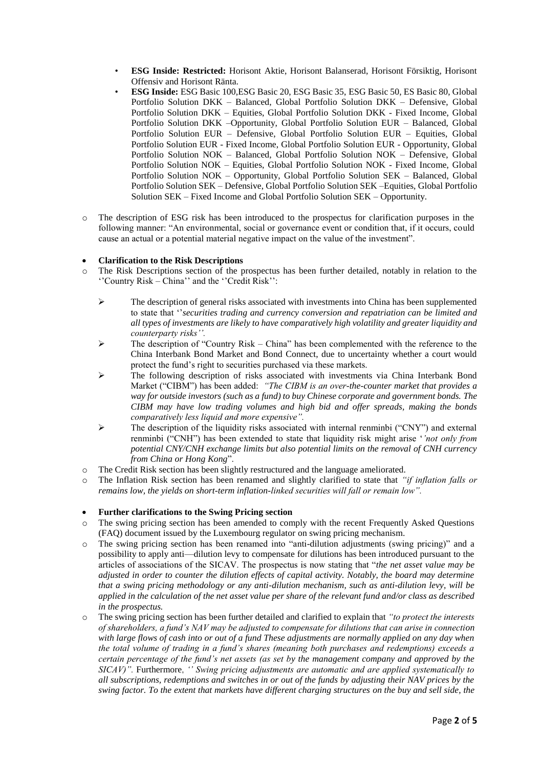- **ESG Inside: Restricted:** Horisont Aktie, Horisont Balanserad, Horisont Försiktig, Horisont Offensiv and Horisont Ränta.
- **ESG Inside:** ESG Basic 100,ESG Basic 20, ESG Basic 35, ESG Basic 50, ES Basic 80, Global Portfolio Solution DKK – Balanced, Global Portfolio Solution DKK – Defensive, Global Portfolio Solution DKK – Equities, Global Portfolio Solution DKK - Fixed Income, Global Portfolio Solution DKK –Opportunity, Global Portfolio Solution EUR – Balanced, Global Portfolio Solution EUR – Defensive, Global Portfolio Solution EUR – Equities, Global Portfolio Solution EUR - Fixed Income, Global Portfolio Solution EUR - Opportunity, Global Portfolio Solution NOK – Balanced, Global Portfolio Solution NOK – Defensive, Global Portfolio Solution NOK – Equities, Global Portfolio Solution NOK - Fixed Income, Global Portfolio Solution NOK – Opportunity, Global Portfolio Solution SEK – Balanced, Global Portfolio Solution SEK – Defensive, Global Portfolio Solution SEK –Equities, Global Portfolio Solution SEK – Fixed Income and Global Portfolio Solution SEK – Opportunity.
- o The description of ESG risk has been introduced to the prospectus for clarification purposes in the following manner: "An environmental, social or governance event or condition that, if it occurs, could cause an actual or a potential material negative impact on the value of the investment".

# **Clarification to the Risk Descriptions**

- o The Risk Descriptions section of the prospectus has been further detailed, notably in relation to the ''Country Risk – China'' and the ''Credit Risk'':
	- $\triangleright$  The description of general risks associated with investments into China has been supplemented to state that ''*securities trading and currency conversion and repatriation can be limited and all types of investments are likely to have comparatively high volatility and greater liquidity and counterparty risks''.*
	- $\triangleright$  The description of "Country Risk China" has been complemented with the reference to the China Interbank Bond Market and Bond Connect, due to uncertainty whether a court would protect the fund's right to securities purchased via these markets.
	- The following description of risks associated with investments via China Interbank Bond Market ("CIBM") has been added: *"The CIBM is an over-the-counter market that provides a way for outside investors (such as a fund) to buy Chinese corporate and government bonds. The CIBM may have low trading volumes and high bid and offer spreads, making the bonds comparatively less liquid and more expensive".*
	- $\triangleright$  The description of the liquidity risks associated with internal renminbi ("CNY") and external renminbi ("CNH") has been extended to state that liquidity risk might arise '*'not only from potential CNY/CNH exchange limits but also potential limits on the removal of CNH currency from China or Hong Kong*".
- o The Credit Risk section has been slightly restructured and the language ameliorated.
- o The Inflation Risk section has been renamed and slightly clarified to state that *"if inflation falls or remains low, the yields on short-term inflation-linked securities will fall or remain low".*

## **Further clarifications to the Swing Pricing section**

- o The swing pricing section has been amended to comply with the recent Frequently Asked Questions (FAQ) document issued by the Luxembourg regulator on swing pricing mechanism.
- o The swing pricing section has been renamed into "anti-dilution adjustments (swing pricing)" and a possibility to apply anti—dilution levy to compensate for dilutions has been introduced pursuant to the articles of associations of the SICAV. The prospectus is now stating that "*the net asset value may be adjusted in order to counter the dilution effects of capital activity. Notably, the board may determine that a swing pricing methodology or any anti-dilution mechanism, such as anti-dilution levy, will be applied in the calculation of the net asset value per share of the relevant fund and/or class as described in the prospectus.*
- o The swing pricing section has been further detailed and clarified to explain that *"to protect the interests of shareholders, a fund's NAV may be adjusted to compensate for dilutions that can arise in connection with large flows of cash into or out of a fund These adjustments are normally applied on any day when the total volume of trading in a fund's shares (meaning both purchases and redemptions) exceeds a certain percentage of the fund's net assets (as set by the management company and approved by the SICAV)".* Furthermore, *'' Swing pricing adjustments are automatic and are applied systematically to all subscriptions, redemptions and switches in or out of the funds by adjusting their NAV prices by the swing factor. To the extent that markets have different charging structures on the buy and sell side, the*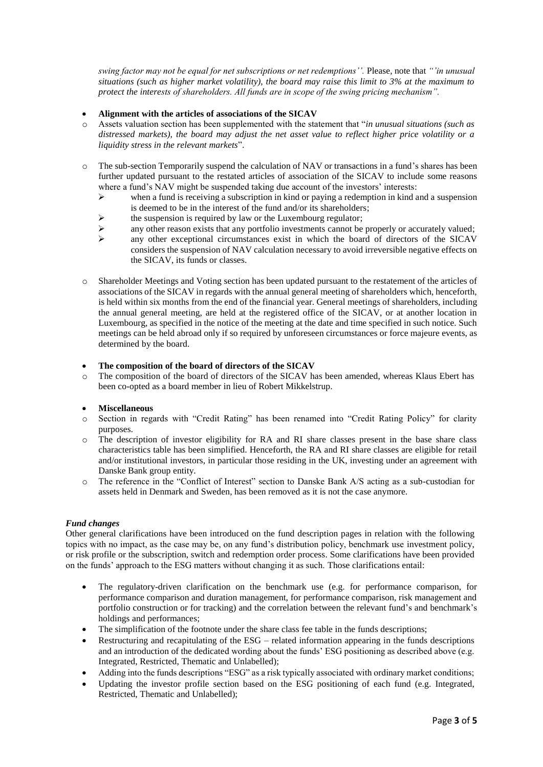*swing factor may not be equal for net subscriptions or net redemptions''.* Please, note that *"'in unusual situations (such as higher market volatility), the board may raise this limit to 3% at the maximum to protect the interests of shareholders. All funds are in scope of the swing pricing mechanism".*

#### **Alignment with the articles of associations of the SICAV**

- o Assets valuation section has been supplemented with the statement that "*in unusual situations (such as distressed markets), the board may adjust the net asset value to reflect higher price volatility or a liquidity stress in the relevant markets*".
- o The sub-section Temporarily suspend the calculation of NAV or transactions in a fund's shares has been further updated pursuant to the restated articles of association of the SICAV to include some reasons where a fund's NAV might be suspended taking due account of the investors' interests:
	- $\triangleright$  when a fund is receiving a subscription in kind or paying a redemption in kind and a suspension is deemed to be in the interest of the fund and/or its shareholders;
	- $\triangleright$  the suspension is required by law or the Luxembourg regulator;
	- $\triangleright$  any other reason exists that any portfolio investments cannot be properly or accurately valued;
	- any other exceptional circumstances exist in which the board of directors of the SICAV considers the suspension of NAV calculation necessary to avoid irreversible negative effects on the SICAV, its funds or classes.
- o Shareholder Meetings and Voting section has been updated pursuant to the restatement of the articles of associations of the SICAV in regards with the annual general meeting of shareholders which, henceforth, is held within six months from the end of the financial year. General meetings of shareholders, including the annual general meeting, are held at the registered office of the SICAV, or at another location in Luxembourg, as specified in the notice of the meeting at the date and time specified in such notice. Such meetings can be held abroad only if so required by unforeseen circumstances or force majeure events, as determined by the board.

## **The composition of the board of directors of the SICAV**

o The composition of the board of directors of the SICAV has been amended, whereas Klaus Ebert has been co-opted as a board member in lieu of Robert Mikkelstrup.

## **Miscellaneous**

- o Section in regards with "Credit Rating" has been renamed into "Credit Rating Policy" for clarity purposes.
- o The description of investor eligibility for RA and RI share classes present in the base share class characteristics table has been simplified. Henceforth, the RA and RI share classes are eligible for retail and/or institutional investors, in particular those residing in the UK, investing under an agreement with Danske Bank group entity.
- o The reference in the "Conflict of Interest" section to Danske Bank A/S acting as a sub-custodian for assets held in Denmark and Sweden, has been removed as it is not the case anymore.

## *Fund changes*

Other general clarifications have been introduced on the fund description pages in relation with the following topics with no impact, as the case may be, on any fund's distribution policy, benchmark use investment policy, or risk profile or the subscription, switch and redemption order process. Some clarifications have been provided on the funds' approach to the ESG matters without changing it as such. Those clarifications entail:

- The regulatory-driven clarification on the benchmark use (e.g. for performance comparison, for performance comparison and duration management, for performance comparison, risk management and portfolio construction or for tracking) and the correlation between the relevant fund's and benchmark's holdings and performances;
- The simplification of the footnote under the share class fee table in the funds descriptions;
- Restructuring and recapitulating of the ESG related information appearing in the funds descriptions and an introduction of the dedicated wording about the funds' ESG positioning as described above (e.g. Integrated, Restricted, Thematic and Unlabelled);
- Adding into the funds descriptions "ESG" as a risk typically associated with ordinary market conditions;
- Updating the investor profile section based on the ESG positioning of each fund (e.g. Integrated, Restricted, Thematic and Unlabelled);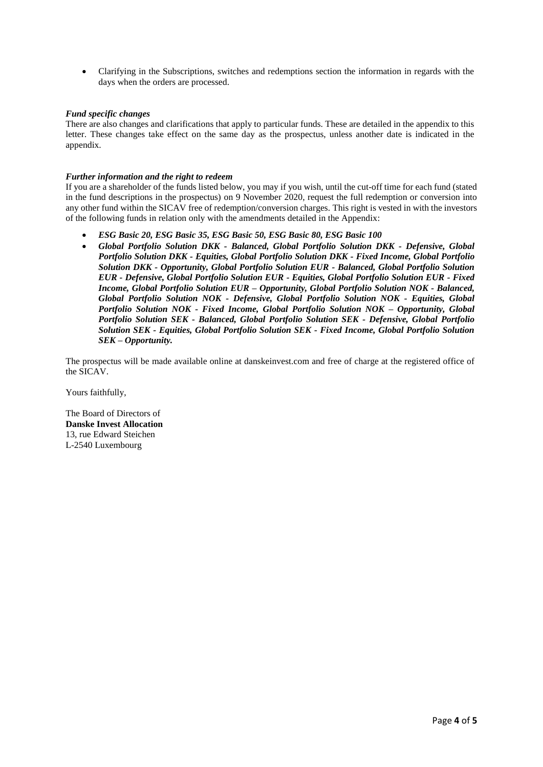Clarifying in the Subscriptions, switches and redemptions section the information in regards with the days when the orders are processed.

#### *Fund specific changes*

There are also changes and clarifications that apply to particular funds. These are detailed in the appendix to this letter. These changes take effect on the same day as the prospectus, unless another date is indicated in the appendix.

#### *Further information and the right to redeem*

If you are a shareholder of the funds listed below, you may if you wish, until the cut-off time for each fund (stated in the fund descriptions in the prospectus) on 9 November 2020, request the full redemption or conversion into any other fund within the SICAV free of redemption/conversion charges. This right is vested in with the investors of the following funds in relation only with the amendments detailed in the Appendix:

- *ESG Basic 20, ESG Basic 35, ESG Basic 50, ESG Basic 80, ESG Basic 100*
- *Global Portfolio Solution DKK - Balanced, Global Portfolio Solution DKK - Defensive, Global Portfolio Solution DKK - Equities, Global Portfolio Solution DKK - Fixed Income, Global Portfolio Solution DKK - Opportunity, Global Portfolio Solution EUR - Balanced, Global Portfolio Solution EUR - Defensive, Global Portfolio Solution EUR - Equities, Global Portfolio Solution EUR - Fixed Income, Global Portfolio Solution EUR – Opportunity, Global Portfolio Solution NOK - Balanced, Global Portfolio Solution NOK - Defensive, Global Portfolio Solution NOK - Equities, Global Portfolio Solution NOK - Fixed Income, Global Portfolio Solution NOK – Opportunity, Global Portfolio Solution SEK - Balanced, Global Portfolio Solution SEK - Defensive, Global Portfolio Solution SEK - Equities, Global Portfolio Solution SEK - Fixed Income, Global Portfolio Solution SEK – Opportunity.*

The prospectus will be made available online at danskeinvest.com and free of charge at the registered office of the SICAV.

Yours faithfully,

The Board of Directors of **Danske Invest Allocation** 13, rue Edward Steichen L-2540 Luxembourg